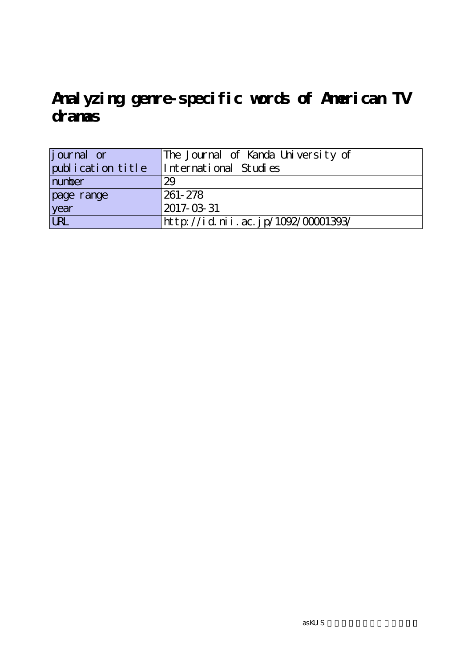| journal or        | The Journal of Kanda University of |
|-------------------|------------------------------------|
| publication title | International Studies              |
| number            | 29                                 |
| page range        | 261-278                            |
| year              | 2017-03-31                         |
| URL               | http://id.nii.ac.jp/1092/00001393/ |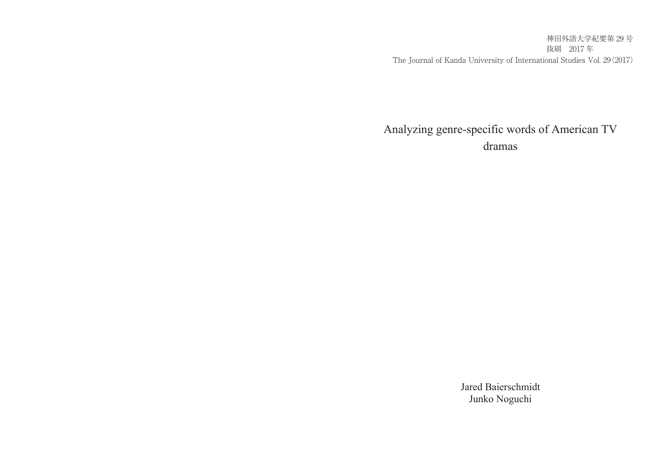神田外語大学紀要第 29 号 抜刷 2017 年 The Journal of Kanda University of International Studies Vol. 29(2017)

# Analyzing genre-specific words of American TV dramas

Jared Baierschmidt Junko Noguchi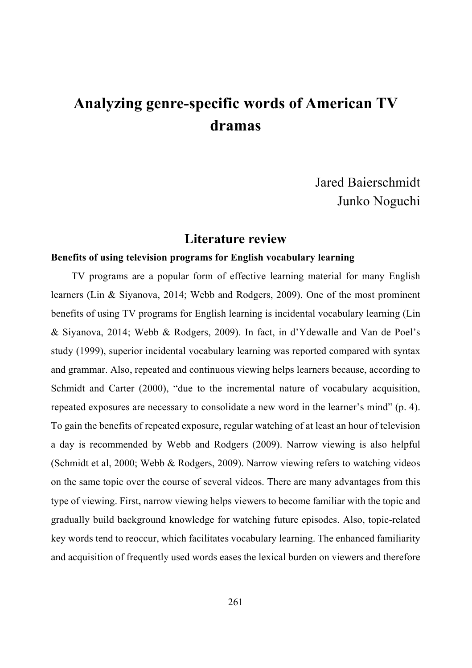Jared Baierschmidt Junko Noguchi

### **Literature review**

#### **Benefits of using television programs for English vocabulary learning**

TV programs are a popular form of effective learning material for many English learners (Lin & Siyanova, 2014; Webb and Rodgers, 2009). One of the most prominent benefits of using TV programs for English learning is incidental vocabulary learning (Lin & Siyanova, 2014; Webb & Rodgers, 2009). In fact, in d'Ydewalle and Van de Poel's study (1999), superior incidental vocabulary learning was reported compared with syntax and grammar. Also, repeated and continuous viewing helps learners because, according to Schmidt and Carter (2000), "due to the incremental nature of vocabulary acquisition, repeated exposures are necessary to consolidate a new word in the learner's mind" (p. 4). To gain the benefits of repeated exposure, regular watching of at least an hour of television a day is recommended by Webb and Rodgers (2009). Narrow viewing is also helpful (Schmidt et al, 2000; Webb & Rodgers, 2009). Narrow viewing refers to watching videos on the same topic over the course of several videos. There are many advantages from this type of viewing. First, narrow viewing helps viewers to become familiar with the topic and gradually build background knowledge for watching future episodes. Also, topic-related key words tend to reoccur, which facilitates vocabulary learning. The enhanced familiarity and acquisition of frequently used words eases the lexical burden on viewers and therefore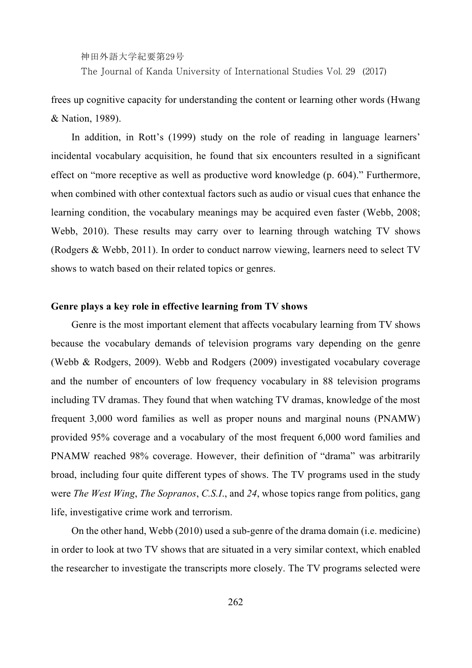The Journal of Kanda University of International Studies Vol. 29 (2017)

frees up cognitive capacity for understanding the content or learning other words (Hwang & Nation, 1989).

In addition, in Rott's (1999) study on the role of reading in language learners' incidental vocabulary acquisition, he found that six encounters resulted in a significant effect on "more receptive as well as productive word knowledge (p. 604)." Furthermore, when combined with other contextual factors such as audio or visual cues that enhance the learning condition, the vocabulary meanings may be acquired even faster (Webb, 2008; Webb, 2010). These results may carry over to learning through watching TV shows (Rodgers & Webb, 2011). In order to conduct narrow viewing, learners need to select TV shows to watch based on their related topics or genres.

#### **Genre plays a key role in effective learning from TV shows**

Genre is the most important element that affects vocabulary learning from TV shows because the vocabulary demands of television programs vary depending on the genre (Webb & Rodgers, 2009). Webb and Rodgers (2009) investigated vocabulary coverage and the number of encounters of low frequency vocabulary in 88 television programs including TV dramas. They found that when watching TV dramas, knowledge of the most frequent 3,000 word families as well as proper nouns and marginal nouns (PNAMW) provided 95% coverage and a vocabulary of the most frequent 6,000 word families and PNAMW reached 98% coverage. However, their definition of "drama" was arbitrarily broad, including four quite different types of shows. The TV programs used in the study were *The West Wing*, *The Sopranos*, *C.S.I*., and *24*, whose topics range from politics, gang life, investigative crime work and terrorism.

On the other hand, Webb (2010) used a sub-genre of the drama domain (i.e. medicine) in order to look at two TV shows that are situated in a very similar context, which enabled the researcher to investigate the transcripts more closely. The TV programs selected were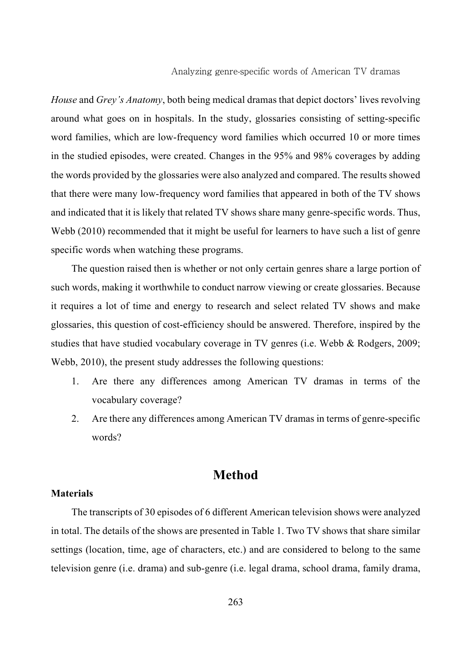*House* and *Grey's Anatomy*, both being medical dramas that depict doctors' lives revolving around what goes on in hospitals. In the study, glossaries consisting of setting-specific word families, which are low-frequency word families which occurred 10 or more times in the studied episodes, were created. Changes in the 95% and 98% coverages by adding the words provided by the glossaries were also analyzed and compared. The results showed that there were many low-frequency word families that appeared in both of the TV shows and indicated that it is likely that related TV shows share many genre-specific words. Thus, Webb (2010) recommended that it might be useful for learners to have such a list of genre specific words when watching these programs.

The question raised then is whether or not only certain genres share a large portion of such words, making it worthwhile to conduct narrow viewing or create glossaries. Because it requires a lot of time and energy to research and select related TV shows and make glossaries, this question of cost-efficiency should be answered. Therefore, inspired by the studies that have studied vocabulary coverage in TV genres (i.e. Webb & Rodgers, 2009; Webb, 2010), the present study addresses the following questions:

- 1. Are there any differences among American TV dramas in terms of the vocabulary coverage?
- 2. Are there any differences among American TV dramas in terms of genre-specific words?

# **Method**

#### **Materials**

The transcripts of 30 episodes of 6 different American television shows were analyzed in total. The details of the shows are presented in Table 1. Two TV shows that share similar settings (location, time, age of characters, etc.) and are considered to belong to the same television genre (i.e. drama) and sub-genre (i.e. legal drama, school drama, family drama,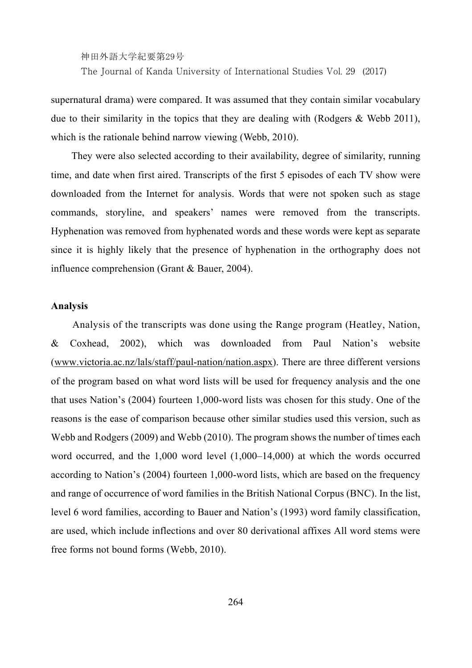神田外語大学紀要第29号 The Journal of Kanda University of International Studies Vol. 29 (2017)

supernatural drama) were compared. It was assumed that they contain similar vocabulary due to their similarity in the topics that they are dealing with (Rodgers  $\&$  Webb 2011), which is the rationale behind narrow viewing (Webb, 2010).

They were also selected according to their availability, degree of similarity, running time, and date when first aired. Transcripts of the first 5 episodes of each TV show were downloaded from the Internet for analysis. Words that were not spoken such as stage commands, storyline, and speakers' names were removed from the transcripts. Hyphenation was removed from hyphenated words and these words were kept as separate since it is highly likely that the presence of hyphenation in the orthography does not influence comprehension (Grant & Bauer, 2004).

#### **Analysis**

Analysis of the transcripts was done using the Range program (Heatley, Nation, & Coxhead, 2002), which was downloaded from Paul Nation's website (www.victoria.ac.nz/lals/staff/paul-nation/nation.aspx). There are three different versions of the program based on what word lists will be used for frequency analysis and the one that uses Nation's (2004) fourteen 1,000-word lists was chosen for this study. One of the reasons is the ease of comparison because other similar studies used this version, such as Webb and Rodgers (2009) and Webb (2010). The program shows the number of times each word occurred, and the 1,000 word level (1,000–14,000) at which the words occurred according to Nation's (2004) fourteen 1,000-word lists, which are based on the frequency and range of occurrence of word families in the British National Corpus (BNC). In the list, level 6 word families, according to Bauer and Nation's (1993) word family classification, are used, which include inflections and over 80 derivational affixes All word stems were free forms not bound forms (Webb, 2010).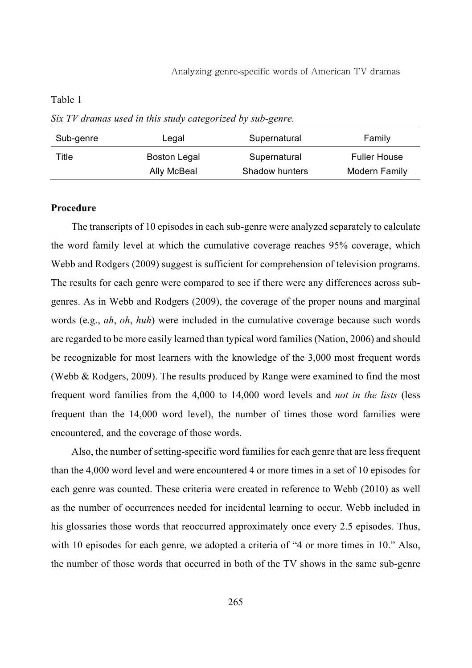*Six TV dramas used in this study categorized by sub-genre.* 

| Sub-genre | Legal        | Supernatural   | Family              |
|-----------|--------------|----------------|---------------------|
| Title     | Boston Legal | Supernatural   | <b>Fuller House</b> |
|           | Ally McBeal  | Shadow hunters | Modern Family       |

#### **Procedure**

The transcripts of 10 episodes in each sub-genre were analyzed separately to calculate the word family level at which the cumulative coverage reaches 95% coverage, which Webb and Rodgers (2009) suggest is sufficient for comprehension of television programs. The results for each genre were compared to see if there were any differences across subgenres. As in Webb and Rodgers (2009), the coverage of the proper nouns and marginal words (e.g., *ah*, *oh*, *huh*) were included in the cumulative coverage because such words are regarded to be more easily learned than typical word families (Nation, 2006) and should be recognizable for most learners with the knowledge of the 3,000 most frequent words (Webb & Rodgers, 2009). The results produced by Range were examined to find the most frequent word families from the 4,000 to 14,000 word levels and *not in the lists* (less frequent than the 14,000 word level), the number of times those word families were encountered, and the coverage of those words.

Also, the number of setting-specific word families for each genre that are less frequent than the 4,000 word level and were encountered 4 or more times in a set of 10 episodes for each genre was counted. These criteria were created in reference to Webb (2010) as well as the number of occurrences needed for incidental learning to occur. Webb included in his glossaries those words that reoccurred approximately once every 2.5 episodes. Thus, with 10 episodes for each genre, we adopted a criteria of "4 or more times in 10." Also, the number of those words that occurred in both of the TV shows in the same sub-genre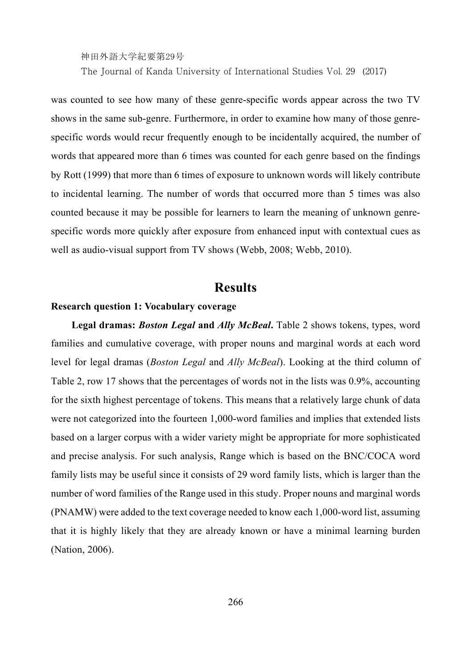The Journal of Kanda University of International Studies Vol. 29 (2017)

was counted to see how many of these genre-specific words appear across the two TV shows in the same sub-genre. Furthermore, in order to examine how many of those genrespecific words would recur frequently enough to be incidentally acquired, the number of words that appeared more than 6 times was counted for each genre based on the findings by Rott (1999) that more than 6 times of exposure to unknown words will likely contribute to incidental learning. The number of words that occurred more than 5 times was also counted because it may be possible for learners to learn the meaning of unknown genrespecific words more quickly after exposure from enhanced input with contextual cues as well as audio-visual support from TV shows (Webb, 2008; Webb, 2010).

## **Results**

#### **Research question 1: Vocabulary coverage**

**Legal dramas:** *Boston Legal* **and** *Ally McBeal***.** Table 2 shows tokens, types, word families and cumulative coverage, with proper nouns and marginal words at each word level for legal dramas (*Boston Legal* and *Ally McBeal*). Looking at the third column of Table 2, row 17 shows that the percentages of words not in the lists was 0.9%, accounting for the sixth highest percentage of tokens. This means that a relatively large chunk of data were not categorized into the fourteen 1,000-word families and implies that extended lists based on a larger corpus with a wider variety might be appropriate for more sophisticated and precise analysis. For such analysis, Range which is based on the BNC/COCA word family lists may be useful since it consists of 29 word family lists, which is larger than the number of word families of the Range used in this study. Proper nouns and marginal words (PNAMW) were added to the text coverage needed to know each 1,000-word list, assuming that it is highly likely that they are already known or have a minimal learning burden (Nation, 2006).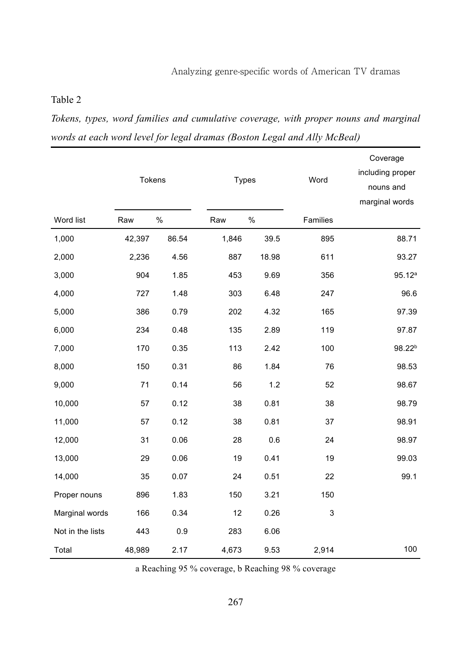*Tokens, types, word families and cumulative coverage, with proper nouns and marginal words at each word level for legal dramas (Boston Legal and Ally McBeal)* 

|                  |        | <b>Tokens</b> |       | Types | Word     | Coverage<br>including proper<br>nouns and<br>marginal words |
|------------------|--------|---------------|-------|-------|----------|-------------------------------------------------------------|
| Word list        | Raw    | %             | Raw   | %     | Families |                                                             |
| 1,000            | 42,397 | 86.54         | 1,846 | 39.5  | 895      | 88.71                                                       |
| 2,000            | 2,236  | 4.56          | 887   | 18.98 | 611      | 93.27                                                       |
| 3,000            | 904    | 1.85          | 453   | 9.69  | 356      | $95.12^{a}$                                                 |
| 4,000            | 727    | 1.48          | 303   | 6.48  | 247      | 96.6                                                        |
| 5,000            | 386    | 0.79          | 202   | 4.32  | 165      | 97.39                                                       |
| 6,000            | 234    | 0.48          | 135   | 2.89  | 119      | 97.87                                                       |
| 7,000            | 170    | 0.35          | 113   | 2.42  | 100      | 98.22 <sup>b</sup>                                          |
| 8,000            | 150    | 0.31          | 86    | 1.84  | 76       | 98.53                                                       |
| 9,000            | 71     | 0.14          | 56    | 1.2   | 52       | 98.67                                                       |
| 10,000           | 57     | 0.12          | 38    | 0.81  | 38       | 98.79                                                       |
| 11,000           | 57     | 0.12          | 38    | 0.81  | 37       | 98.91                                                       |
| 12,000           | 31     | 0.06          | 28    | 0.6   | 24       | 98.97                                                       |
| 13,000           | 29     | 0.06          | 19    | 0.41  | 19       | 99.03                                                       |
| 14,000           | 35     | 0.07          | 24    | 0.51  | 22       | 99.1                                                        |
| Proper nouns     | 896    | 1.83          | 150   | 3.21  | 150      |                                                             |
| Marginal words   | 166    | 0.34          | 12    | 0.26  | 3        |                                                             |
| Not in the lists | 443    | 0.9           | 283   | 6.06  |          |                                                             |
| Total            | 48,989 | 2.17          | 4,673 | 9.53  | 2,914    | 100                                                         |

a Reaching 95 % coverage, b Reaching 98 % coverage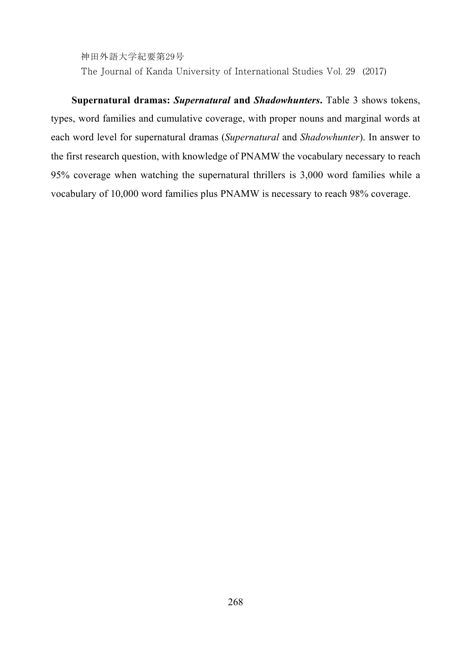The Journal of Kanda University of International Studies Vol. 29 (2017)

**Supernatural dramas:** *Supernatural* **and** *Shadowhunters***.** Table 3 shows tokens, types, word families and cumulative coverage, with proper nouns and marginal words at each word level for supernatural dramas (*Supernatural* and *Shadowhunter*). In answer to the first research question, with knowledge of PNAMW the vocabulary necessary to reach 95% coverage when watching the supernatural thrillers is 3,000 word families while a vocabulary of 10,000 word families plus PNAMW is necessary to reach 98% coverage.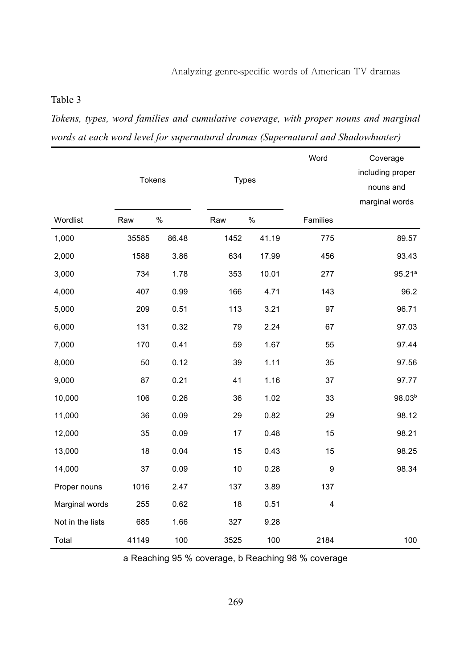*Tokens, types, word families and cumulative coverage, with proper nouns and marginal words at each word level for supernatural dramas (Supernatural and Shadowhunter)* 

|                  |       |               |      |       | Word           | Coverage<br>including proper |
|------------------|-------|---------------|------|-------|----------------|------------------------------|
|                  |       | <b>Tokens</b> |      | Types |                | nouns and                    |
|                  |       |               |      |       |                | marginal words               |
| Wordlist         | Raw   | %             | Raw  | %     | Families       |                              |
| 1,000            | 35585 | 86.48         | 1452 | 41.19 | 775            | 89.57                        |
| 2,000            | 1588  | 3.86          | 634  | 17.99 | 456            | 93.43                        |
| 3,000            | 734   | 1.78          | 353  | 10.01 | 277            | 95.21a                       |
| 4,000            | 407   | 0.99          | 166  | 4.71  | 143            | 96.2                         |
| 5,000            | 209   | 0.51          | 113  | 3.21  | 97             | 96.71                        |
| 6,000            | 131   | 0.32          | 79   | 2.24  | 67             | 97.03                        |
| 7,000            | 170   | 0.41          | 59   | 1.67  | 55             | 97.44                        |
| 8,000            | 50    | 0.12          | 39   | 1.11  | 35             | 97.56                        |
| 9,000            | 87    | 0.21          | 41   | 1.16  | 37             | 97.77                        |
| 10,000           | 106   | 0.26          | 36   | 1.02  | 33             | 98.03 <sup>b</sup>           |
| 11,000           | 36    | 0.09          | 29   | 0.82  | 29             | 98.12                        |
| 12,000           | 35    | 0.09          | 17   | 0.48  | 15             | 98.21                        |
| 13,000           | 18    | 0.04          | 15   | 0.43  | 15             | 98.25                        |
| 14,000           | 37    | 0.09          | 10   | 0.28  | 9              | 98.34                        |
| Proper nouns     | 1016  | 2.47          | 137  | 3.89  | 137            |                              |
| Marginal words   | 255   | 0.62          | 18   | 0.51  | $\overline{4}$ |                              |
| Not in the lists | 685   | 1.66          | 327  | 9.28  |                |                              |
| Total            | 41149 | 100           | 3525 | 100   | 2184           | 100                          |

a Reaching 95 % coverage, b Reaching 98 % coverage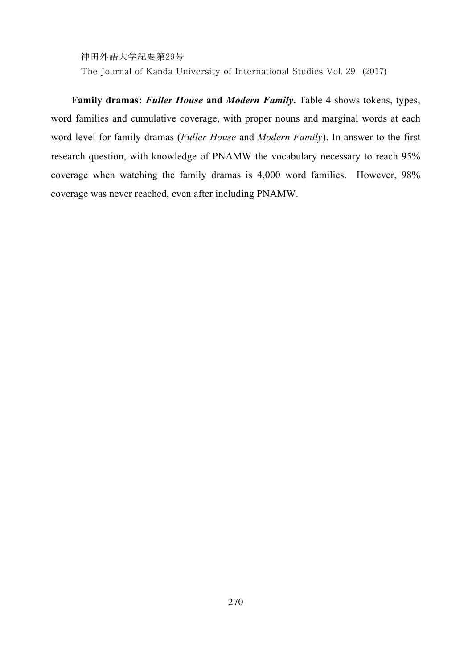The Journal of Kanda University of International Studies Vol. 29 (2017)

**Family dramas:** *Fuller House* **and** *Modern Family***.** Table 4 shows tokens, types, word families and cumulative coverage, with proper nouns and marginal words at each word level for family dramas (*Fuller House* and *Modern Family*). In answer to the first research question, with knowledge of PNAMW the vocabulary necessary to reach 95% coverage when watching the family dramas is 4,000 word families. However, 98% coverage was never reached, even after including PNAMW.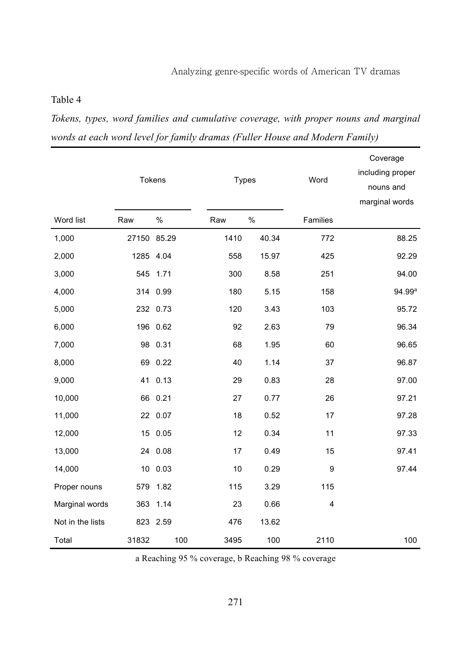*Tokens, types, word families and cumulative coverage, with proper nouns and marginal words at each word level for family dramas (Fuller House and Modern Family)* 

|                  |             | <b>Tokens</b> |      | <b>Types</b> | Word           | Coverage<br>including proper<br>nouns and<br>marginal words |
|------------------|-------------|---------------|------|--------------|----------------|-------------------------------------------------------------|
| Word list        | Raw         | %             | Raw  | %            | Families       |                                                             |
| 1,000            | 27150 85.29 |               | 1410 | 40.34        | 772            | 88.25                                                       |
| 2,000            |             | 1285 4.04     | 558  | 15.97        | 425            | 92.29                                                       |
| 3,000            | 545         | 1.71          | 300  | 8.58         | 251            | 94.00                                                       |
| 4,000            |             | 314 0.99      | 180  | 5.15         | 158            | 94.99ª                                                      |
| 5,000            |             | 232 0.73      | 120  | 3.43         | 103            | 95.72                                                       |
| 6,000            |             | 196 0.62      | 92   | 2.63         | 79             | 96.34                                                       |
| 7,000            |             | 98 0.31       | 68   | 1.95         | 60             | 96.65                                                       |
| 8,000            |             | 69 0.22       | 40   | 1.14         | 37             | 96.87                                                       |
| 9,000            |             | 41 0.13       | 29   | 0.83         | 28             | 97.00                                                       |
| 10,000           |             | 66 0.21       | 27   | 0.77         | 26             | 97.21                                                       |
| 11,000           |             | 22 0.07       | 18   | 0.52         | 17             | 97.28                                                       |
| 12,000           |             | 15 0.05       | 12   | 0.34         | 11             | 97.33                                                       |
| 13,000           |             | 24 0.08       | 17   | 0.49         | 15             | 97.41                                                       |
| 14,000           |             | 10 0.03       | 10   | 0.29         | 9              | 97.44                                                       |
| Proper nouns     |             | 579 1.82      | 115  | 3.29         | 115            |                                                             |
| Marginal words   |             | 363 1.14      | 23   | 0.66         | $\overline{4}$ |                                                             |
| Not in the lists |             | 823 2.59      | 476  | 13.62        |                |                                                             |
| Total            | 31832       | 100           | 3495 | 100          | 2110           | 100                                                         |

a Reaching 95 % coverage, b Reaching 98 % coverage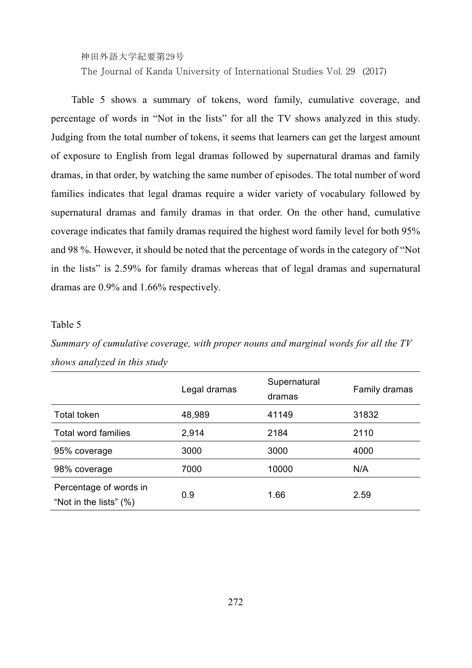The Journal of Kanda University of International Studies Vol. 29 (2017)

Table 5 shows a summary of tokens, word family, cumulative coverage, and percentage of words in "Not in the lists" for all the TV shows analyzed in this study. Judging from the total number of tokens, it seems that learners can get the largest amount of exposure to English from legal dramas followed by supernatural dramas and family dramas, in that order, by watching the same number of episodes. The total number of word families indicates that legal dramas require a wider variety of vocabulary followed by supernatural dramas and family dramas in that order. On the other hand, cumulative coverage indicates that family dramas required the highest word family level for both 95% and 98 %. However, it should be noted that the percentage of words in the category of "Not in the lists" is 2.59% for family dramas whereas that of legal dramas and supernatural dramas are 0.9% and 1.66% respectively.

#### Table 5

*Summary of cumulative coverage, with proper nouns and marginal words for all the TV shows analyzed in this study* 

|                                                  | Legal dramas | Supernatural<br>dramas | Family dramas |
|--------------------------------------------------|--------------|------------------------|---------------|
| Total token                                      | 48,989       | 41149                  | 31832         |
| <b>Total word families</b>                       | 2,914        | 2184                   | 2110          |
| 95% coverage                                     | 3000         | 3000                   | 4000          |
| 98% coverage                                     | 7000         | 10000                  | N/A           |
| Percentage of words in<br>"Not in the lists" (%) | 0.9          | 1.66                   | 2.59          |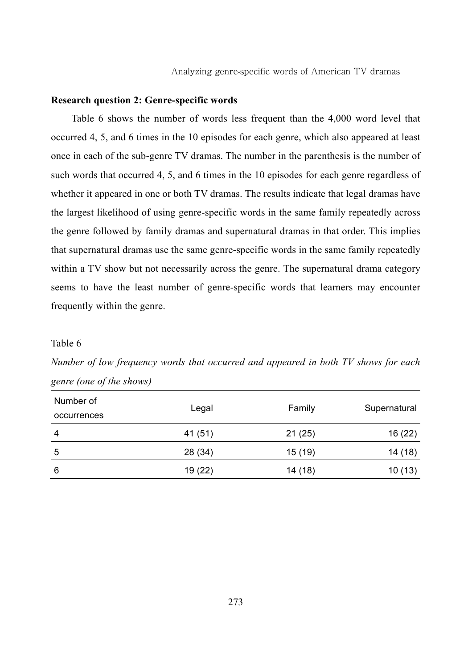#### **Research question 2: Genre-specific words**

Table 6 shows the number of words less frequent than the 4,000 word level that occurred 4, 5, and 6 times in the 10 episodes for each genre, which also appeared at least once in each of the sub-genre TV dramas. The number in the parenthesis is the number of such words that occurred 4, 5, and 6 times in the 10 episodes for each genre regardless of whether it appeared in one or both TV dramas. The results indicate that legal dramas have the largest likelihood of using genre-specific words in the same family repeatedly across the genre followed by family dramas and supernatural dramas in that order. This implies that supernatural dramas use the same genre-specific words in the same family repeatedly within a TV show but not necessarily across the genre. The supernatural drama category seems to have the least number of genre-specific words that learners may encounter frequently within the genre.

#### Table 6

*Number of low frequency words that occurred and appeared in both TV shows for each genre (one of the shows)* 

| Number of   |         |         |              |
|-------------|---------|---------|--------------|
| occurrences | Legal   | Family  | Supernatural |
| 4           | 41 (51) | 21(25)  | 16 (22)      |
| 5           | 28 (34) | 15 (19) | 14 (18)      |
| 6           | 19 (22) | 14 (18) | 10(13)       |
|             |         |         |              |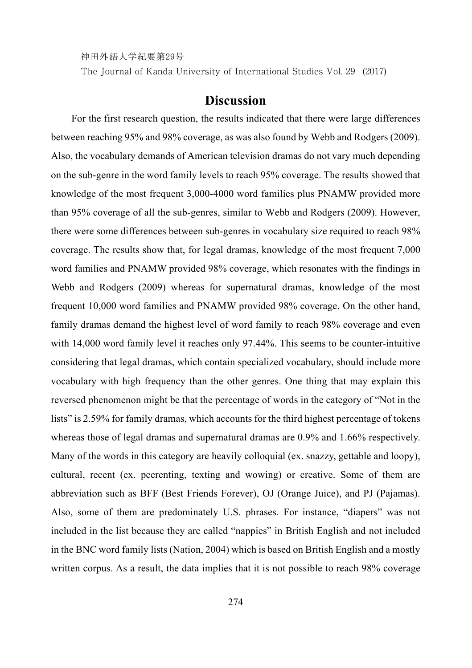The Journal of Kanda University of International Studies Vol. 29 (2017)

# **Discussion**

For the first research question, the results indicated that there were large differences between reaching 95% and 98% coverage, as was also found by Webb and Rodgers (2009). Also, the vocabulary demands of American television dramas do not vary much depending on the sub-genre in the word family levels to reach 95% coverage. The results showed that knowledge of the most frequent 3,000-4000 word families plus PNAMW provided more than 95% coverage of all the sub-genres, similar to Webb and Rodgers (2009). However, there were some differences between sub-genres in vocabulary size required to reach 98% coverage. The results show that, for legal dramas, knowledge of the most frequent 7,000 word families and PNAMW provided 98% coverage, which resonates with the findings in Webb and Rodgers (2009) whereas for supernatural dramas, knowledge of the most frequent 10,000 word families and PNAMW provided 98% coverage. On the other hand, family dramas demand the highest level of word family to reach 98% coverage and even with 14,000 word family level it reaches only 97.44%. This seems to be counter-intuitive considering that legal dramas, which contain specialized vocabulary, should include more vocabulary with high frequency than the other genres. One thing that may explain this reversed phenomenon might be that the percentage of words in the category of "Not in the lists" is 2.59% for family dramas, which accounts for the third highest percentage of tokens whereas those of legal dramas and supernatural dramas are 0.9% and 1.66% respectively. Many of the words in this category are heavily colloquial (ex. snazzy, gettable and loopy), cultural, recent (ex. peerenting, texting and wowing) or creative. Some of them are abbreviation such as BFF (Best Friends Forever), OJ (Orange Juice), and PJ (Pajamas). Also, some of them are predominately U.S. phrases. For instance, "diapers" was not included in the list because they are called "nappies" in British English and not included in the BNC word family lists (Nation, 2004) which is based on British English and a mostly written corpus. As a result, the data implies that it is not possible to reach 98% coverage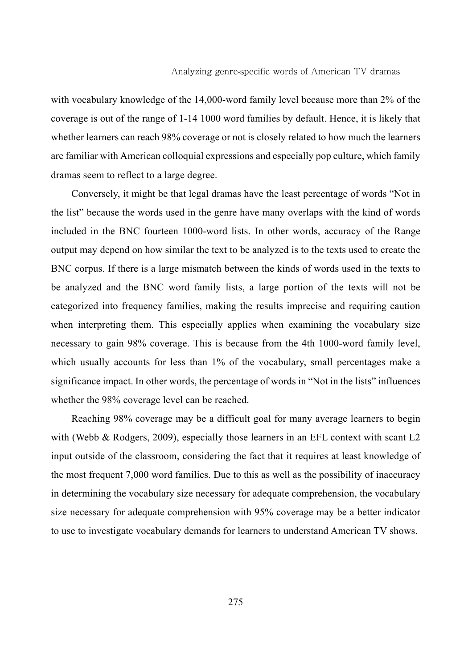with vocabulary knowledge of the 14,000-word family level because more than 2% of the coverage is out of the range of 1-14 1000 word families by default. Hence, it is likely that whether learners can reach 98% coverage or not is closely related to how much the learners are familiar with American colloquial expressions and especially pop culture, which family dramas seem to reflect to a large degree.

Conversely, it might be that legal dramas have the least percentage of words "Not in the list" because the words used in the genre have many overlaps with the kind of words included in the BNC fourteen 1000-word lists. In other words, accuracy of the Range output may depend on how similar the text to be analyzed is to the texts used to create the BNC corpus. If there is a large mismatch between the kinds of words used in the texts to be analyzed and the BNC word family lists, a large portion of the texts will not be categorized into frequency families, making the results imprecise and requiring caution when interpreting them. This especially applies when examining the vocabulary size necessary to gain 98% coverage. This is because from the 4th 1000-word family level, which usually accounts for less than 1% of the vocabulary, small percentages make a significance impact. In other words, the percentage of words in "Not in the lists" influences whether the 98% coverage level can be reached.

Reaching 98% coverage may be a difficult goal for many average learners to begin with (Webb & Rodgers, 2009), especially those learners in an EFL context with scant L2 input outside of the classroom, considering the fact that it requires at least knowledge of the most frequent 7,000 word families. Due to this as well as the possibility of inaccuracy in determining the vocabulary size necessary for adequate comprehension, the vocabulary size necessary for adequate comprehension with 95% coverage may be a better indicator to use to investigate vocabulary demands for learners to understand American TV shows.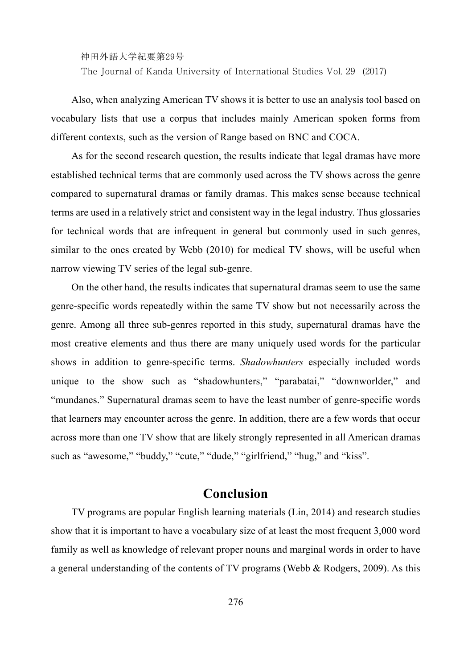The Journal of Kanda University of International Studies Vol. 29 (2017)

Also, when analyzing American TV shows it is better to use an analysis tool based on vocabulary lists that use a corpus that includes mainly American spoken forms from different contexts, such as the version of Range based on BNC and COCA.

As for the second research question, the results indicate that legal dramas have more established technical terms that are commonly used across the TV shows across the genre compared to supernatural dramas or family dramas. This makes sense because technical terms are used in a relatively strict and consistent way in the legal industry. Thus glossaries for technical words that are infrequent in general but commonly used in such genres, similar to the ones created by Webb (2010) for medical TV shows, will be useful when narrow viewing TV series of the legal sub-genre.

On the other hand, the results indicates that supernatural dramas seem to use the same genre-specific words repeatedly within the same TV show but not necessarily across the genre. Among all three sub-genres reported in this study, supernatural dramas have the most creative elements and thus there are many uniquely used words for the particular shows in addition to genre-specific terms. *Shadowhunters* especially included words unique to the show such as "shadowhunters," "parabatai," "downworlder," and "mundanes." Supernatural dramas seem to have the least number of genre-specific words that learners may encounter across the genre. In addition, there are a few words that occur across more than one TV show that are likely strongly represented in all American dramas such as "awesome," "buddy," "cute," "dude," "girlfriend," "hug," and "kiss".

# **Conclusion**

TV programs are popular English learning materials (Lin, 2014) and research studies show that it is important to have a vocabulary size of at least the most frequent 3,000 word family as well as knowledge of relevant proper nouns and marginal words in order to have a general understanding of the contents of TV programs (Webb & Rodgers, 2009). As this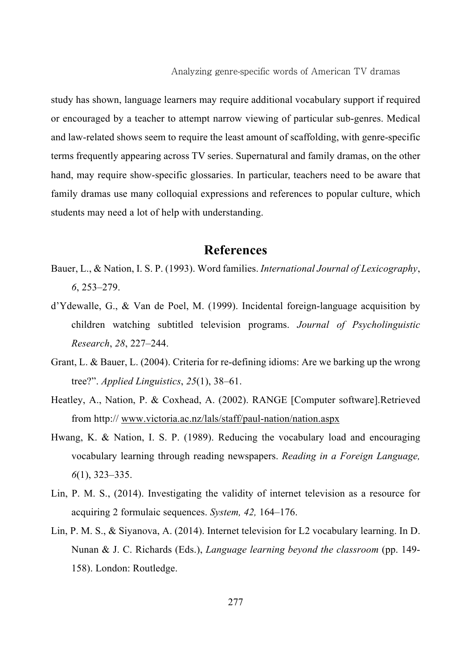study has shown, language learners may require additional vocabulary support if required or encouraged by a teacher to attempt narrow viewing of particular sub-genres. Medical and law-related shows seem to require the least amount of scaffolding, with genre-specific terms frequently appearing across TV series. Supernatural and family dramas, on the other hand, may require show-specific glossaries. In particular, teachers need to be aware that family dramas use many colloquial expressions and references to popular culture, which students may need a lot of help with understanding.

### **References**

- Bauer, L., & Nation, I. S. P. (1993). Word families. *International Journal of Lexicography*, *6*, 253–279.
- d'Ydewalle, G., & Van de Poel, M. (1999). Incidental foreign-language acquisition by children watching subtitled television programs. *Journal of Psycholinguistic Research*, *28*, 227–244.
- Grant, L. & Bauer, L. (2004). Criteria for re-defining idioms: Are we barking up the wrong tree?". *Applied Linguistics*, *25*(1), 38–61.
- Heatley, A., Nation, P. & Coxhead, A. (2002). RANGE [Computer software].Retrieved from http:// www.victoria.ac.nz/lals/staff/paul-nation/nation.aspx
- Hwang, K. & Nation, I. S. P. (1989). Reducing the vocabulary load and encouraging vocabulary learning through reading newspapers. *Reading in a Foreign Language, 6*(1), 323–335.
- Lin, P. M. S., (2014). Investigating the validity of internet television as a resource for acquiring 2 formulaic sequences. *System, 42,* 164–176.
- Lin, P. M. S., & Siyanova, A. (2014). Internet television for L2 vocabulary learning. In D. Nunan & J. C. Richards (Eds.), *Language learning beyond the classroom* (pp. 149- 158). London: Routledge.